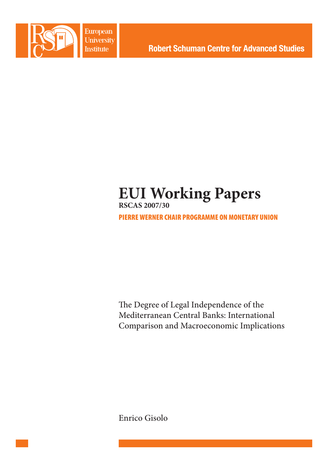

**European University Institute** 

# **EUI Working Papers RSCAS 2007/30**

PIERRE WERNER CHAIR PROGRAMME ON MONETARY UNION

The Degree of Legal Independence of the Mediterranean Central Banks: International Comparison and Macroeconomic Implications

Enrico Gisolo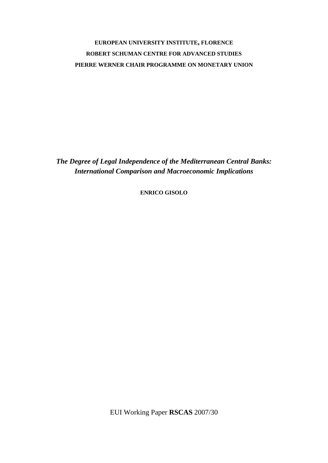## **EUROPEAN UNIVERSITY INSTITUTE, FLORENCE ROBERT SCHUMAN CENTRE FOR ADVANCED STUDIES PIERRE WERNER CHAIR PROGRAMME ON MONETARY UNION**

*The Degree of Legal Independence of the Mediterranean Central Banks: International Comparison and Macroeconomic Implications* 

**ENRICO GISOLO**

EUI Working Paper **RSCAS** 2007/30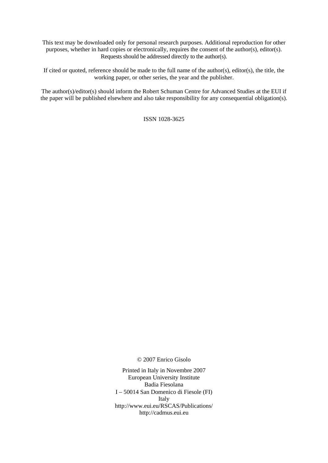This text may be downloaded only for personal research purposes. Additional reproduction for other purposes, whether in hard copies or electronically, requires the consent of the author(s), editor(s). Requests should be addressed directly to the author(s).

If cited or quoted, reference should be made to the full name of the author(s), editor(s), the title, the working paper, or other series, the year and the publisher.

The author(s)/editor(s) should inform the Robert Schuman Centre for Advanced Studies at the EUI if the paper will be published elsewhere and also take responsibility for any consequential obligation(s).

ISSN 1028-3625

© 2007 Enrico Gisolo

Printed in Italy in Novembre 2007 European University Institute Badia Fiesolana I – 50014 San Domenico di Fiesole (FI) Italy [http://www.eui.eu/RSCAS/Publications/](http://www.eui.eu/RSCAS/Publications)  <http://cadmus.eui.eu>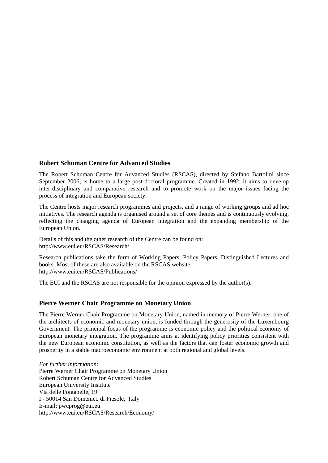## **Robert Schuman Centre for Advanced Studies**

The Robert Schuman Centre for Advanced Studies (RSCAS), directed by Stefano Bartolini since September 2006, is home to a large post-doctoral programme. Created in 1992, it aims to develop inter-disciplinary and comparative research and to promote work on the major issues facing the process of integration and European society.

The Centre hosts major research programmes and projects, and a range of working groups and ad hoc initiatives. The research agenda is organised around a set of core themes and is continuously evolving, reflecting the changing agenda of European integration and the expanding membership of the European Union.

Details of this and the other research of the Centre can be found on: [http://www.eui.eu/RSCAS/Research/](http://www.eui.eu/RSCAS/Research) 

Research publications take the form of Working Papers, Policy Papers, Distinguished Lectures and books. Most of these are also available on the RSCAS website: [http://www.eui.eu/RSCAS/Publications/](http://www.eui.eu/RSCAS/Publications) 

The EUI and the RSCAS are not responsible for the opinion expressed by the author(s).

## **Pierre Werner Chair Programme on Monetary Union**

The Pierre Werner Chair Programme on Monetary Union, named in memory of Pierre Werner, one of the architects of economic and monetary union, is funded through the generosity of the Luxembourg Government. The principal focus of the programme is economic policy and the political economy of European monetary integration. The programme aims at identifying policy priorities consistent with the new European economic constitution, as well as the factors that can foster economic growth and prosperity in a stable macroeconomic environment at both regional and global levels.

*For further information:*  Pierre Werner Chair Programme on Monetary Union Robert Schuman Centre for Advanced Studies European University Institute Via delle Fontanelle, 19 I - 50014 San Domenico di Fiesole, Italy E-mail: [pwcprog@eui.eu](mailto:pwcprog@eui.eu)  [http://www.eui.eu/RSCAS/Research/Economy/](http://www.eui.eu/RSCAS/Research/Economy)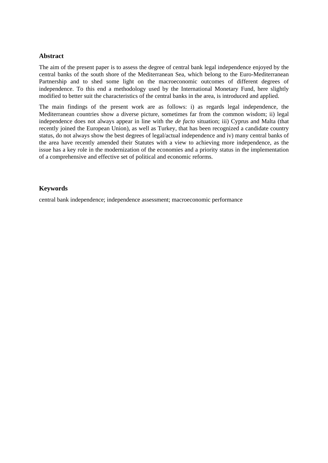## **Abstract**

The aim of the present paper is to assess the degree of central bank legal independence enjoyed by the central banks of the south shore of the Mediterranean Sea, which belong to the Euro-Mediterranean Partnership and to shed some light on the macroeconomic outcomes of different degrees of independence. To this end a methodology used by the International Monetary Fund, here slightly modified to better suit the characteristics of the central banks in the area, is introduced and applied.

The main findings of the present work are as follows: i) as regards legal independence, the Mediterranean countries show a diverse picture, sometimes far from the common wisdom; ii) legal independence does not always appear in line with the *de facto* situation; iii) Cyprus and Malta (that recently joined the European Union), as well as Turkey, that has been recognized a candidate country status, do not always show the best degrees of legal/actual independence and iv) many central banks of the area have recently amended their Statutes with a view to achieving more independence, as the issue has a key role in the modernization of the economies and a priority status in the implementation of a comprehensive and effective set of political and economic reforms.

## **Keywords**

central bank independence; independence assessment; macroeconomic performance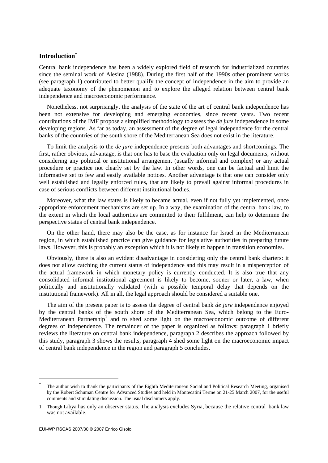## **Introduction\***

Central bank independence has been a widely explored field of research for industrialized countries since the seminal work of Alesina (1988). During the first half of the 1990s other prominent works (see paragraph 1) contributed to better qualify the concept of independence in the aim to provide an adequate taxonomy of the phenomenon and to explore the alleged relation between central bank independence and macroeconomic performance.

Nonetheless, not surprisingly, the analysis of the state of the art of central bank independence has been not extensive for developing and emerging economies, since recent years. Two recent contributions of the IMF propose a simplified methodology to assess the *de jure* independence in some developing regions. As far as today, an assessment of the degree of legal independence for the central banks of the countries of the south shore of the Mediterranean Sea does not exist in the literature.

To limit the analysis to the *de jure* independence presents both advantages and shortcomings. The first, rather obvious, advantage, is that one has to base the evaluation only on legal documents, without considering any political or institutional arrangement (usually informal and complex) or any actual procedure or practice not clearly set by the law. In other words, one can be factual and limit the informative set to few and easily available notices. Another advantage is that one can consider only well established and legally enforced rules, that are likely to prevail against informal procedures in case of serious conflicts between different institutional bodies.

Moreover, what the law states is likely to became actual, even if not fully yet implemented, once appropriate enforcement mechanisms are set up. In a way, the examination of the central bank law, to the extent in which the local authorities are committed to their fulfilment, can help to determine the perspective status of central bank independence.

On the other hand, there may also be the case, as for instance for Israel in the Mediterranean region, in which established practice can give guidance for legislative authorities in preparing future laws. However, this is probably an exception which it is not likely to happen in transition economies.

Obviously, there is also an evident disadvantage in considering only the central bank charters: it does not allow catching the current status of independence and this may result in a misperception of the actual framework in which monetary policy is currently conducted. It is also true that any consolidated informal institutional agreement is likely to become, sooner or later, a law, when politically and institutionally validated (with a possible temporal delay that depends on the institutional framework). All in all, the legal approach should be considered a suitable one.

The aim of the present paper is to assess the degree of central bank *de jure* independence enjoyed by the central banks of the south shore of the Mediterranean Sea, which belong to the Euro-Mediterranean Partnership<sup>1</sup> and to shed some light on the macroeconomic outcome of different degrees of independence. The remainder of the paper is organized as follows: paragraph 1 briefly reviews the literature on central bank independence, paragraph 2 describes the approach followed by this study, paragraph 3 shows the results, paragraph 4 shed some light on the macroeconomic impact of central bank independence in the region and paragraph 5 concludes.

1

<sup>\*</sup> The author wish to thank the participants of the Eighth Mediterranean Social and Political Research Meeting, organised by the Robert Schuman Centre for Advanced Studies and held in Montecatini Terme on 21-25 March 2007, for the useful comments and stimulating discussion. The usual disclaimers apply.

<sup>1</sup> Though Libya has only an observer status. The analysis excludes Syria, because the relative central bank law was not available.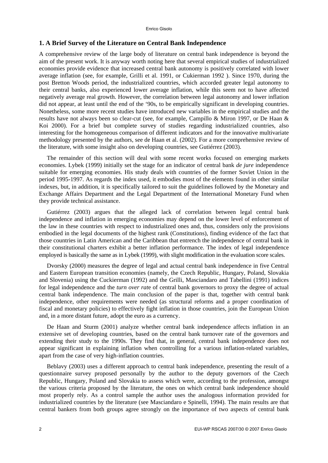## **1. A Brief Survey of the Literature on Central Bank Independence**

A comprehensive review of the large body of literature on central bank independence is beyond the aim of the present work. It is anyway worth noting here that several empirical studies of industrialized economies provide evidence that increased central bank autonomy is positively correlated with lower average inflation (see, for example, Grilli et al. 1991, or Cukierman 1992 ). Since 1970, during the post Bretton Woods period, the industrialized countries, which accorded greater legal autonomy to their central banks, also experienced lower average inflation, while this seem not to have affected negatively average real growth. However, the correlation between legal autonomy and lower inflation did not appear, at least until the end of the '90s, to be empirically significant in developing countries. Nonetheless, some more recent studies have introduced new variables in the empirical studies and the results have not always been so clear-cut (see, for example, Campillo & Miron 1997, or De Haan & Koi 2000). For a brief but complete survey of studies regarding industrialized countries, also interesting for the homogeneous comparison of different indicators and for the innovative multivariate methodology presented by the authors, see de Haan et al. (2002). For a more comprehensive review of the literature, with some insight also on developing countries, see Gutiérrez (2003).

The remainder of this section will deal with some recent works focused on emerging markets economies. Lybek (1999) initially set the stage for an indicator of central bank *de jure* independence suitable for emerging economies. His study deals with countries of the former Soviet Union in the period 1995-1997. As regards the index used, it embodies most of the elements found in other similar indexes, but, in addition, it is specifically tailored to suit the guidelines followed by the Monetary and Exchange Affairs Department and the Legal Department of the International Monetary Fund when they provide technical assistance.

Gutiérrez (2003) argues that the alleged lack of correlation between legal central bank independence and inflation in emerging economies may depend on the lower level of enforcement of the law in these countries with respect to industrialized ones and, thus, considers only the provisions embodied in the legal documents of the highest rank (Constitutions), finding evidence of the fact that those countries in Latin American and the Caribbean that entrench the independence of central bank in their constitutional charters exhibit a better inflation performance. The index of legal independence employed is basically the same as in Lybek (1999), with slight modification in the evaluation score scales.

Dvorsky (2000) measures the degree of legal and actual central bank independence in five Central and Eastern European transition economies (namely, the Czech Republic, Hungary, Poland, Slovakia and Slovenia) using the Cuckierman (1992) and the Grilli, Masciandaro and Tabellini (1991) indices for legal independence and the *turn over rat*e of central bank governors to proxy the degree of actual central bank independence. The main conclusion of the paper is that, together with central bank independence, other requirements were needed (as structural reforms and a proper coordination of fiscal and monetary policies) to effectively fight inflation in those countries, join the European Union and, in a more distant future, adopt the euro as a currency.

De Haan and Sturm (2001) analyze whether central bank independence affects inflation in an extensive set of developing countries, based on the central bank turnover rate of the governors and extending their study to the 1990s. They find that, in general, central bank independence does not appear significant in explaining inflation when controlling for a various inflation-related variables, apart from the case of very high-inflation countries.

Beblavy (2003) uses a different approach to central bank independence, presenting the result of a questionnaire survey proposed personally by the author to the deputy governors of the Czech Republic, Hungary, Poland and Slovakia to assess which were, according to the profession, amongst the various criteria proposed by the literature, the ones on which central bank independence should most properly rely. As a control sample the author uses the analogous information provided for industrialized countries by the literature (see Masciandaro e Spinelli, 1994). The main results are that central bankers from both groups agree strongly on the importance of two aspects of central bank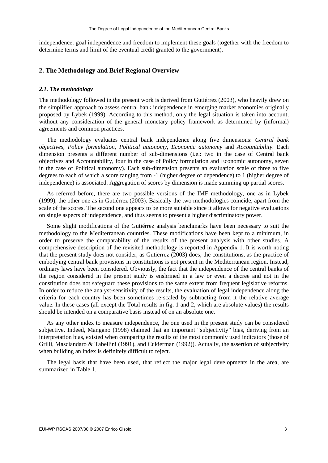independence: goal independence and freedom to implement these goals (together with the freedom to determine terms and limit of the eventual credit granted to the government).

## **2. The Methodology and Brief Regional Overview**

#### *2.1. The methodology*

The methodology followed in the present work is derived from Gutiérrez (2003), who heavily drew on the simplified approach to assess central bank independence in emerging market economies originally proposed by Lybek (1999). According to this method, only the legal situation is taken into account, without any consideration of the general monetary policy framework as determined by (informal) agreements and common practices.

The methodology evaluates central bank independence along five dimensions: *Central bank objectives*, *Policy formulation*, *Political autonomy*, *Economic autonomy* and *Accountability*. Each dimension presents a different number of sub-dimensions (i.e.: two in the case of Central bank objectives and Accountability, four in the case of Policy formulation and Economic autonomy, seven in the case of Political autonomy). Each sub-dimension presents an evaluation scale of three to five degrees to each of which a score ranging from -1 (higher degree of dependence) to 1 (higher degree of independence) is associated. Aggregation of scores by dimension is made summing up partial scores.

As referred before, there are two possible versions of the IMF methodology, one as in Lybek (1999), the other one as in Gutiérrez (2003). Basically the two methodologies coincide, apart from the scale of the scores. The second one appears to be more suitable since it allows for negative evaluations on single aspects of independence, and thus seems to present a higher discriminatory power.

Some slight modifications of the Gutiérrez analysis benchmarks have been necessary to suit the methodology to the Mediterranean countries. These modifications have been kept to a minimum, in order to preserve the comparability of the results of the present analysis with other studies. A comprehensive description of the revisited methodology is reported in Appendix 1. It is worth noting that the present study does not consider, as Gutierrez (2003) does, the constitutions, as the practice of embodying central bank provisions in constitutions is not present in the Mediterranean region. Instead, ordinary laws have been considered. Obviously, the fact that the independence of the central banks of the region considered in the present study is enshrined in a law or even a decree and not in the constitution does not safeguard these provisions to the same extent from frequent legislative reforms. In order to reduce the analyst-sensitivity of the results, the evaluation of legal independence along the criteria for each country has been sometimes re-scaled by subtracting from it the relative average value. In these cases (all except the Total results in fig. 1 and 2, which are absolute values) the results should be intended on a comparative basis instead of on an absolute one.

As any other index to measure independence, the one used in the present study can be considered subjective. Indeed, Mangano (1998) claimed that an important "subjectivity" bias, deriving from an interpretation bias, existed when comparing the results of the most commonly used indicators (those of Grilli, Masciandaro & Tabellini (1991), and Cukierman (1992)). Actually, the assertion of subjectivity when building an index is definitely difficult to reject.

The legal basis that have been used, that reflect the major legal developments in the area, are summarized in Table 1.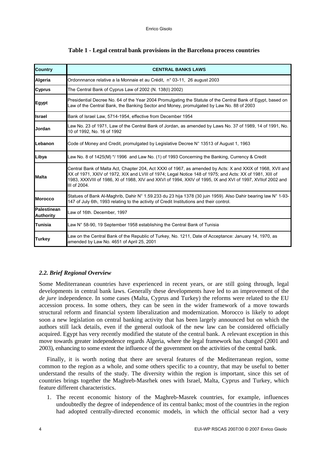| <b>Country</b>                  | <b>CENTRAL BANKS LAWS</b>                                                                                                                                                                                                                                                                                                                            |
|---------------------------------|------------------------------------------------------------------------------------------------------------------------------------------------------------------------------------------------------------------------------------------------------------------------------------------------------------------------------------------------------|
| Algeria                         | Ordonnnance relative a la Monnaie et au Crédit, n° 03-11, 26 august 2003                                                                                                                                                                                                                                                                             |
| <b>Cyprus</b>                   | The Central Bank of Cyprus Law of 2002 (N. 138(I) 2002)                                                                                                                                                                                                                                                                                              |
| <b>Egypt</b>                    | Presidential Decree No. 64 of the Year 2004 Promulgating the Statute of the Central Bank of Egypt, based on<br>Law of the Central Bank, the Banking Sector and Money, promulgated by Law No. 88 of 2003                                                                                                                                              |
| <b>Israel</b>                   | Bank of Israel Law, 5714-1954, effective from December 1954                                                                                                                                                                                                                                                                                          |
| Jordan                          | Law No. 23 of 1971, Law of the Central Bank of Jordan, as amended by Laws No. 37 of 1989, 14 of 1991, No.<br>10 of 1992, No. 16 of 1992                                                                                                                                                                                                              |
| Lebanon                         | Code of Money and Credit, promulgated by Legislative Decree N° 13513 of August 1, 1963                                                                                                                                                                                                                                                               |
| Libya                           | Law No. 8 of 1425(M) */ 1996 and Law No. (1) of 1993 Concerning the Banking, Currency & Credit                                                                                                                                                                                                                                                       |
| <b>Malta</b>                    | Central Bank of Malta Act, Chapter 204, Act XXXI of 1967, as amended by Acts: X and XXIX of 1968, XVII and<br>XX of 1971, XXIV of 1972, XIX and LVIII of 1974; Legal Notice 148 of 1975; and Acts: XX of 1981, XIII of<br>1983, XXXVIII of 1986, XI of 1988, XIV and XXVI of 1994, XXIV of 1995, IX and XVI of 1997, XVIIof 2002 and<br>III of 2004. |
| <b>Morocco</b>                  | Statues of Bank Al-Maghrib, Dahir N° 1.59.233 du 23 hija 1378 (30 juin 1959). Also Dahir bearing law N° 1-93-<br>147 of July 6th, 1993 relating to the activity of Credit Institutions and their control.                                                                                                                                            |
| Palestinean<br><b>Authority</b> | Law of 16th. December, 1997                                                                                                                                                                                                                                                                                                                          |
| Tunisia                         | Law N° 58-90, 19 September 1958 establishing the Central Bank of Tunisia                                                                                                                                                                                                                                                                             |
| <b>Turkey</b>                   | Law on the Central Bank of the Republic of Turkey, No. 1211, Date of Acceptance: January 14, 1970, as<br>amended by Law No. 4651 of April 25, 2001                                                                                                                                                                                                   |

### **Table 1 - Legal central bank provisions in the Barcelona process countries**

## *2.2. Brief Regional Overview*

Some Mediterranean countries have experienced in recent years, or are still going through, legal developments in central bank laws. Generally these developments have led to an improvement of the *de jure* independence. In some cases (Malta, Cyprus and Turkey) the reforms were related to the EU accession process. In some others, they can be seen in the wider framework of a move towards structural reform and financial system liberalization and modernization. Morocco is likely to adopt soon a new legislation on central banking activity that has been largely announced but on which the authors still lack details, even if the general outlook of the new law can be considered officially acquired. Egypt has very recently modified the statute of the central bank. A relevant exception in this move towards greater independence regards Algeria, where the legal framework has changed (2001 and 2003), enhancing to some extent the influence of the government on the activities of the central bank.

Finally, it is worth noting that there are several features of the Mediterranean region, some common to the region as a whole, and some others specific to a country, that may be useful to better understand the results of the study. The diversity within the region is important, since this set of countries brings together the Maghreb-Masrhek ones with Israel, Malta, Cyprus and Turkey, which feature different characteristics.

1. The recent economic history of the Maghreb-Masrek countries, for example, influences undoubtedly the degree of independence of its central banks; most of the countries in the region had adopted centrally-directed economic models, in which the official sector had a very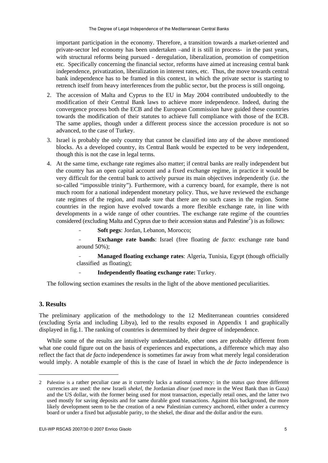important participation in the economy. Therefore, a transition towards a market-oriented and private-sector led economy has been undertaken –and it is still in process- in the past years, with structural reforms being pursued - deregulation, liberalization, promotion of competition etc. Specifically concerning the financial sector, reforms have aimed at increasing central bank independence, privatization, liberalization in interest rates, etc. Thus, the move towards central bank independence has to be framed in this context, in which the private sector is starting to retrench itself from heavy interferences from the public sector, but the process is still ongoing.

- 2. The accession of Malta and Cyprus to the EU in May 2004 contributed undoubtedly to the modification of their Central Bank laws to achieve more independence. Indeed, during the convergence process both the ECB and the European Commission have guided these countries towards the modification of their statutes to achieve full compliance with those of the ECB. The same applies, though under a different process since the accession procedure is not so advanced, to the case of Turkey.
- 3. Israel is probably the only country that cannot be classified into any of the above mentioned blocks. As a developed country, its Central Bank would be expected to be very independent, though this is not the case in legal terms.
- 4. At the same time, exchange rate regimes also matter; if central banks are really independent but the country has an open capital account and a fixed exchange regime, in practice it would be very difficult for the central bank to actively pursue its main objectives independently (i.e. the so-called "impossible trinity"). Furthermore, with a currency board, for example, there is not much room for a national independent monetary policy. Thus, we have reviewed the exchange rate regimes of the region, and made sure that there are no such cases in the region. Some countries in the region have evolved towards a more flexible exchange rate, in line with developments in a wide range of other countries. The exchange rate regime of the countries considered (excluding Malta and Cyprus due to their accession status and Palestine<sup>2</sup>) is as follows:

- **Soft pegs**: Jordan, Lebanon, Morocco;

**Exchange rate bands**: Israel (free floating *de facto*: exchange rate band around 50%);

**Managed floating exchange rates:** Algeria, Tunisia, Egypt (though officially classified as floating);

- **Independently floating exchange rate:** Turkey.

The following section examines the results in the light of the above mentioned peculiarities.

## **3. Results**

1

The preliminary application of the methodology to the 12 Mediterranean countries considered (excluding Syria and including Libya), led to the results exposed in Appendix 1 and graphically displayed in fig.1. The ranking of countries is determined by their degree of independence.

While some of the results are intuitively understandable, other ones are probably different from what one could figure out on the basis of experiences and expectations, a difference which may also reflect the fact that *de facto* independence is sometimes far away from what merely legal consideration would imply. A notable example of this is the case of Israel in which the *de facto* independence is

<sup>2</sup> Palestine is a rather peculiar case as it currently lacks a national currency: in the *status quo* three different currencies are used: the new Israeli *shekel*, the Jordanian *dinar* (used more in the West Bank than in Gaza) and the US dollar, with the former being used for most transaction, especially retail ones, and the latter two used mostly for saving deposits and for same durable good transactions. Against this background, the more likely development seem to be the creation of a new Palestinian currency anchored, either under a currency board or under a fixed but adjustable parity, to the shekel, the dinar and the dollar and/or the euro.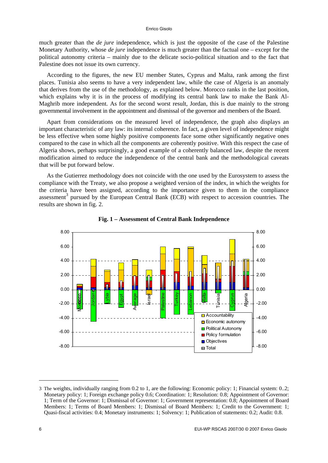#### Enrico Gisolo

much greater than the *de jure* independence, which is just the opposite of the case of the Palestine Monetary Authority, whose *de jure* independence is much greater than the factual one – except for the political autonomy criteria – mainly due to the delicate socio-political situation and to the fact that Palestine does not issue its own currency.

According to the figures, the new EU member States, Cyprus and Malta, rank among the first places. Tunisia also seems to have a very independent law, while the case of Algeria is an anomaly that derives from the use of the methodology, as explained below. Morocco ranks in the last position, which explains why it is in the process of modifying its central bank law to make the Bank Al-Maghrib more independent. As for the second worst result, Jordan, this is due mainly to the strong governmental involvement in the appointment and dismissal of the governor and members of the Board.

Apart from considerations on the measured level of independence, the graph also displays an important characteristic of any law: its internal coherence. In fact, a given level of independence might be less effective when some highly positive components face some other significantly negative ones compared to the case in which all the components are coherently positive. With this respect the case of Algeria shows, perhaps surprisingly, a good example of a coherently balanced law, despite the recent modification aimed to reduce the independence of the central bank and the methodological caveats that will be put forward below.

As the Gutierrez methodology does not coincide with the one used by the Eurosystem to assess the compliance with the Treaty, we also propose a weighted version of the index, in which the weights for the criteria have been assigned, according to the importance given to them in the compliance assessment<sup>3</sup> pursued by the European Central Bank (ECB) with respect to accession countries. The results are shown in fig. 2.





-

<sup>3</sup> The weights, individually ranging from 0.2 to 1, are the following: Economic policy: 1; Financial system: 0..2; Monetary policy: 1; Foreign exchange policy 0.6; Coordination: 1; Resolution: 0.8; Appointment of Governor: 1; Term of the Governor: 1; Dismissal of Governor: 1; Government representation: 0.8; Appointment of Board Members: 1; Terms of Board Members: 1; Dismissal of Board Members: 1; Credit to the Government: 1; Quasi-fiscal activities: 0.4; Monetary instruments: 1; Solvency: 1; Publication of statements: 0.2; Audit: 0.8.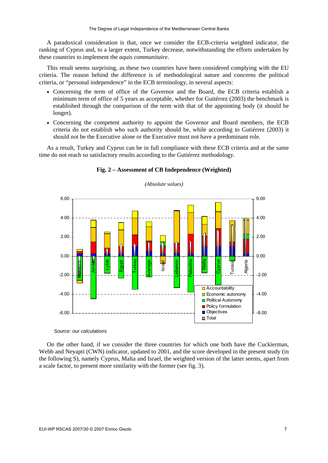A paradoxical consideration is that, once we consider the ECB-criteria weighted indicator, the ranking of Cyprus and, to a larger extent, Turkey decrease, notwithstanding the efforts undertaken by these countries to implement the *aquis communitaire*.

This result seems surprising, as these two countries have been considered complying with the EU criteria. The reason behind the difference is of methodological nature and concerns the political criteria, or "personal independence" in the ECB terminology, in several aspects:

- Concerning the term of office of the Governor and the Board, the ECB criteria establish a minimum term of office of 5 years as acceptable, whether for Guitérrez (2003) the benchmark is established through the comparison of the term with that of the appointing body (it should be longer).
- Concerning the competent authority to appoint the Governor and Board members, the ECB criteria do not establish who such authority should be, while according to Gutiérrez (2003) it should not be the Executive alone or the Executive must not have a predominant role.

As a result, Turkey and Cyprus can be in full compliance with these ECB criteria and at the same time do not reach so satisfactory results according to the Gutiérrez methodology.



#### **Fig. 2 – Assessment of CB Independence (Weighted)**

*(Absolute values)* 

#### *Source: our calculations*

On the other hand, if we consider the three countries for which one both have the Cuckierman, Webb and Neyapti (CWN) indicator, updated to 2001, and the score developed in the present study (in the following S), namely Cyprus, Malta and Israel, the weighted version of the latter seems, apart from a scale factor, to present more similarity with the former (see fig. 3).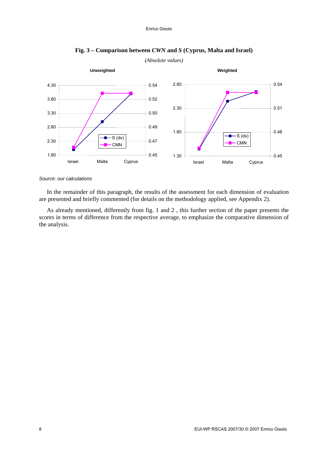

## **Fig. 3 – Comparison between** *CWN* **and** *S* **(Cyprus, Malta and Israel)**

#### *Source: our calculations*

In the remainder of this paragraph, the results of the assessment for each dimension of evaluation are presented and briefly commented (for details on the methodology applied, see Appendix 2).

As already mentioned, differently from fig. 1 and 2 , this further section of the paper presents the scores in terms of difference from the respective average, to emphasize the comparative dimension of the analysis.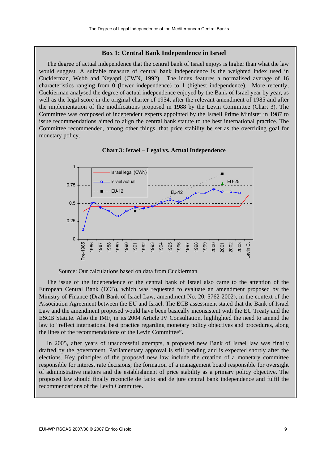#### **Box 1: Central Bank Independence in Israel**

The degree of actual independence that the central bank of Israel enjoys is higher than what the law would suggest. A suitable measure of central bank independence is the weighted index used in Cuckierman, Webb and Neyapti (CWN, 1992). The index features a normalised average of 16 characteristics ranging from 0 (lower independence) to 1 (highest independence). More recently, Cuckierman analysed the degree of actual independence enjoyed by the Bank of Israel year by year, as well as the legal score in the original charter of 1954, after the relevant amendment of 1985 and after the implementation of the modifications proposed in 1988 by the Levin Committee (Chart 3). The Committee was composed of independent experts appointed by the Israeli Prime Minister in 1987 to issue recommendations aimed to align the central bank statute to the best international practice. The Committee recommended, among other things, that price stability be set as the overriding goal for monetary policy.





Source: Our calculations based on data from Cuckierman

The issue of the independence of the central bank of Israel also came to the attention of the European Central Bank (ECB), which was requested to evaluate an amendment proposed by the Ministry of Finance (Draft Bank of Israel Law, amendment No. 20, 5762-2002), in the context of the Association Agreement between the EU and Israel. The ECB assessment stated that the Bank of Israel Law and the amendment proposed would have been basically inconsistent with the EU Treaty and the ESCB Statute. Also the IMF, in its 2004 Article IV Consultation, highlighted the need to amend the law to "reflect international best practice regarding monetary policy objectives and procedures, along the lines of the recommendations of the Levin Committee".

In 2005, after years of unsuccessful attempts, a proposed new Bank of Israel law was finally drafted by the government. Parliamentary approval is still pending and is expected shortly after the elections. Key principles of the proposed new law include the creation of a monetary committee responsible for interest rate decisions; the formation of a management board responsible for oversight of administrative matters and the establishment of price stability as a primary policy objective. The proposed law should finally reconcile de facto and de jure central bank independence and fulfil the recommendations of the Levin Committee.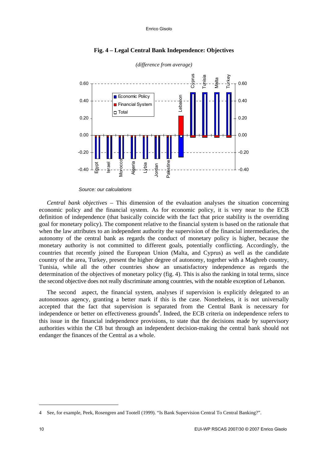

### **Fig. 4 – Legal Central Bank Independence: Objectives**

#### *Source: our calculations*

*Central bank objectives* – This dimension of the evaluation analyses the situation concerning economic policy and the financial system. As for economic policy, it is very near to the ECB definition of independence (that basically coincide with the fact that price stability is the overriding goal for monetary policy). The component relative to the financial system is based on the rationale that when the law attributes to an independent authority the supervision of the financial intermediaries, the autonomy of the central bank as regards the conduct of monetary policy is higher, because the monetary authority is not committed to different goals, potentially conflicting. Accordingly, the countries that recently joined the European Union (Malta, and Cyprus) as well as the candidate country of the area, Turkey, present the higher degree of autonomy, together with a Maghreb country, Tunisia, while all the other countries show an unsatisfactory independence as regards the determination of the objectives of monetary policy (fig. 4). This is also the ranking in total terms, since the second objective does not really discriminate among countries, with the notable exception of Lebanon.

The second aspect, the financial system, analyses if supervision is explicitly delegated to an autonomous agency, granting a better mark if this is the case. Nonetheless, it is not universally accepted that the fact that supervision is separated from the Central Bank is necessary for independence or better on effectiveness grounds<sup>4</sup>. Indeed, the ECB criteria on independence refers to this issue in the financial independence provisions, to state that the decisions made by supervisory authorities within the CB but through an independent decision-making the central bank should not endanger the finances of the Central as a whole.

1

<sup>4</sup> See, for example, Peek, Rosengren and Tootell (1999). "Is Bank Supervision Central To Central Banking?".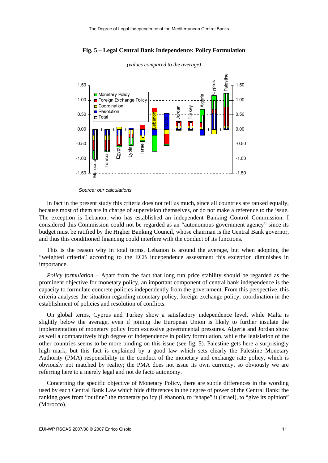

**Fig. 5 – Legal Central Bank Independence: Policy Formulation** 

*Source: our calculations* 

In fact in the present study this criteria does not tell us much, since all countries are ranked equally, because most of them are in charge of supervision themselves, or do not make a reference to the issue. The exception is Lebanon, who has established an independent Banking Control Commission. I considered this Commission could not be regarded as an "autonomous government agency" since its budget must be ratified by the Higher Banking Council, whose chairman is the Central Bank governor, and thus this conditioned financing could interfere with the conduct of its functions.

This is the reason why in total terms, Lebanon is around the average, but when adopting the "weighted criteria" according to the ECB independence assessment this exception diminishes in importance.

*Policy formulation* – Apart from the fact that long run price stability should be regarded as the prominent objective for monetary policy, an important component of central bank independence is the capacity to formulate concrete policies independently from the government. From this perspective, this criteria analyses the situation regarding monetary policy, foreign exchange policy, coordination in the establishment of policies and resolution of conflicts.

On global terms, Cyprus and Turkey show a satisfactory independence level, while Malta is slightly below the average, even if joining the European Union is likely to further insulate the implementation of monetary policy from excessive governmental pressures. Algeria and Jordan show as well a comparatively high degree of independence in policy formulation, while the legislation of the other countries seems to be more binding on this issue (see fig. 5). Palestine gets here a surprisingly high mark, but this fact is explained by a good law which sets clearly the Palestine Monetary Authority (PMA) responsibility in the conduct of the monetary and exchange rate policy, which is obviously not matched by reality; the PMA does not issue its own currency, so obviously we are referring here to a merely legal and not de facto autonomy.

Concerning the specific objective of Monetary Policy, there are subtle differences in the wording used by each Central Bank Law which hide differences in the degree of power of the Central Bank: the ranking goes from "outline" the monetary policy (Lebanon), to "shape" it (Israel), to "give its opinion" (Morocco).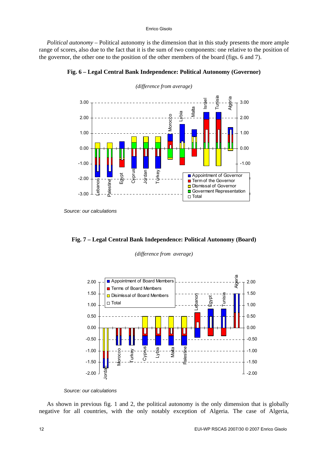#### Enrico Gisolo

*Political autonomy* – Political autonomy is the dimension that in this study presents the more ample range of scores, also due to the fact that it is the sum of two components: one relative to the position of the governor, the other one to the position of the other members of the board (figs. 6 and 7).



**Fig. 6 – Legal Central Bank Independence: Political Autonomy (Governor)** 

*Source: our calculations* 



*(difference from average)* 



*Source: our calculations*

As shown in previous fig. 1 and 2, the political autonomy is the only dimension that is globally negative for all countries, with the only notably exception of Algeria. The case of Algeria,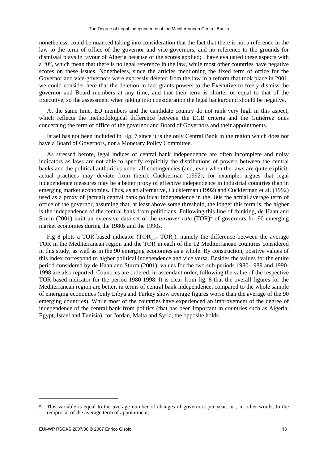nonetheless, could be nuanced taking into consideration that the fact that there is not a reference in the law to the term of office of the governor and vice-governors, and no reference to the grounds for dismissal plays in favour of Algeria because of the scores applied; I have evaluated these aspects with a "0", which mean that there is no legal reference in the law, while most other countries have negative scores on these issues. Nonetheless, since the articles mentioning the fixed term of office for the Governor and vice-governors were expressly deleted from the law in a reform that took place in 2001, we could consider here that the deletion in fact grants powers to the Executive to freely dismiss the governor and Board members at any time, and that their term is shorter or equal to that of the Executive, so the assessment when taking into consideration the legal background should be negative.

At the same time, EU members and the candidate country do not rank very high in this aspect, which reflects the methodological difference between the ECB criteria and the Gutiérrez ones concerning the term of office of the governor and Board of Governors and their appointments.

Israel has not been included in Fig. 7 since it is the only Central Bank in the region which does not have a Board of Governors, nor a Monetary Policy Committee.

As stressed before, legal indices of central bank independence are often incomplete and noisy indicators as laws are not able to specify explicitly the distributions of powers between the central banks and the political authorities under all contingencies (and, even when the laws are quite explicit, actual practices may deviate from them). Cuckierman (1992), for example, argues that legal independence measures may be a better proxy of effective independence in industrial countries than in emerging market economies. Thus, as an alternative, Cuckierman (1992) and Cuckierman et al. (1992) used as a proxy of (actual) central bank political independence in the '80s the actual average term of office of the governor, assuming that, at least above some threshold, the longer this term is, the higher is the independence of the central bank from politicians. Following this line of thinking, de Haan and Sturm (2001) built an extensive data set of the *turnover rate* (TOR)<sup>5</sup> of governors for 90 emerging market economies during the 1980s and the 1990s.

Fig 8 plots a TOR-based indicator (TOR<sub>av</sub>,- TOR<sub>n</sub>), namely the difference between the average TOR in the Mediterranean region and the TOR in each of the 12 Mediterranean countries considered in this study, as well as in the 90 emerging economies as a whole. By construction, positive values of this index correspond to higher political independence and vice versa. Besides the values for the entire period considered by de Haan and Sturm (2001), values for the two sub-periods 1980-1989 and 1990- 1998 are also reported. Countries are ordered, in ascendant order, following the value of the respective TOR-based indicator for the period 1980-1998. It is clear from fig. 8 that the overall figures for the Mediterranean region are better, in terms of central bank independence, compared to the whole sample of emerging economies (only Libya and Turkey show average figures worse than the average of the 90 emerging countries). While most of the countries have experienced an improvement of the degree of independence of the central bank from politics (that has been important in countries such as Algeria, Egypt, Israel and Tunisia), for Jordan, Malta and Syria, the opposite holds.

1

<sup>5</sup> This variable is equal to the average number of changes of governors per year, or , in other words, to the reciprocal of the average term of appointment)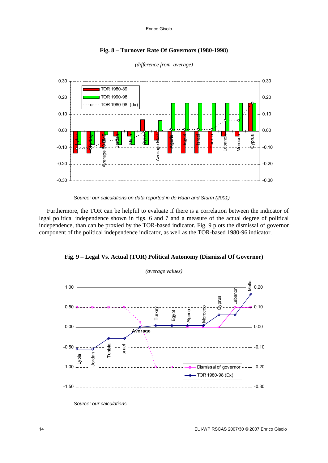

**Fig. 8 – Turnover Rate Of Governors (1980-1998)** 



*Source: our calculations on data reported in de Haan and Sturm (2001)* 

Furthermore, the TOR can be helpful to evaluate if there is a correlation between the indicator of legal political independence shown in figs. 6 and 7 and a measure of the actual degree of political independence, than can be proxied by the TOR-based indicator. Fig. 9 plots the dismissal of governor component of the political independence indicator, as well as the TOR-based 1980-96 indicator.





*Source: our calculations*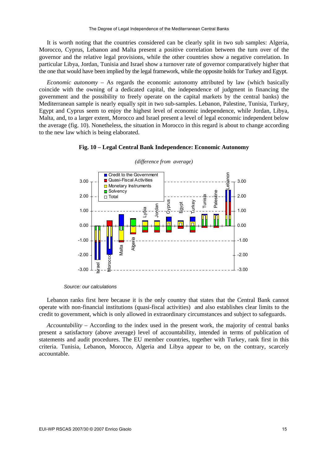It is worth noting that the countries considered can be clearly split in two sub samples: Algeria, Morocco, Cyprus, Lebanon and Malta present a positive correlation between the turn over of the governor and the relative legal provisions, while the other countries show a negative correlation. In particular Libya, Jordan, Tunisia and Israel show a turnover rate of governor comparatively higher that the one that would have been implied by the legal framework, while the opposite holds for Turkey and Egypt.

*Economic autonomy* – As regards the economic autonomy attributed by law (which basically coincide with the owning of a dedicated capital, the independence of judgment in financing the government and the possibility to freely operate on the capital markets by the central banks) the Mediterranean sample is nearly equally spit in two sub-samples. Lebanon, Palestine, Tunisia, Turkey, Egypt and Cyprus seem to enjoy the highest level of economic independence, while Jordan, Libya, Malta, and, to a larger extent, Morocco and Israel present a level of legal economic independent below the average (fig. 10). Nonetheless, the situation in Morocco in this regard is about to change according to the new law which is being elaborated.





#### *(difference from average)*

Lebanon ranks first here because it is the only country that states that the Central Bank cannot operate with non-financial institutions (quasi-fiscal activities) and also establishes clear limits to the credit to government, which is only allowed in extraordinary circumstances and subject to safeguards.

*Accountability* – According to the index used in the present work, the majority of central banks present a satisfactory (above average) level of accountability, intended in terms of publication of statements and audit procedures. The EU member countries, together with Turkey, rank first in this criteria. Tunisia, Lebanon, Morocco, Algeria and Libya appear to be, on the contrary, scarcely accountable.

*Source: our calculations*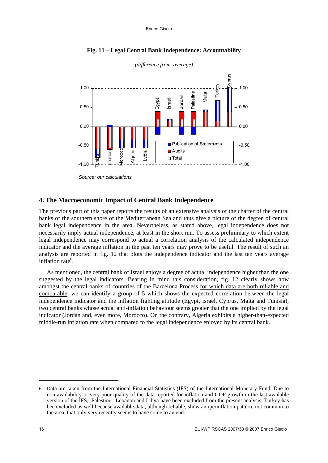

### **Fig. 11 – Legal Central Bank Independence: Accountability**

#### **4. The Macroeconomic Impact of Central Bank Independence**

The previous part of this paper reports the results of an extensive analysis of the charter of the central banks of the southern shore of the Mediterranean Sea and thus give a picture of the degree of central bank legal independence in the area. Nevertheless, as stated above, legal independence does not necessarily imply actual independence, at least in the short run. To assess preliminary to which extent legal independence may correspond to actual a correlation analysis of the calculated independence indicator and the average inflation in the past ten years may prove to be useful. The result of such an analysis are reported in fig. 12 that plots the independence indicator and the last ten years average inflation rate<sup>6</sup>.

As mentioned, the central bank of Israel enjoys a degree of actual independence higher than the one suggested by the legal indicators. Bearing in mind this consideration, fig. 12 clearly shows how amongst the central banks of countries of the Barcelona Process for which data are both reliable and comparable, we can identify a group of 5 which shows the expected correlation between the legal independence indicator and the inflation fighting attitude (Egypt, Israel, Cyprus, Malta and Tunisia), two central banks whose actual anti-inflation behaviour seems greater that the one implied by the legal indicator (Jordan and, even more, Morocco). On the contrary, Algeria exhibits a higher-than-expected middle-run inflation rate when compared to the legal independence enjoyed by its central bank.

-

*Source: our calculations* 

<sup>6</sup> Data are taken from the International Financial Statistics (IFS) of the International Monetary Fund. Due to non-availability or very poor quality of the data reported for inflation and GDP growth in the last available version of the IFS, Palestine, Lebanon and Libya have been excluded from the present analysis. Turkey has bee excluded as well because available data, although reliable, show an iperinflation pattern, not common to the area, that only very recently seems to have come to an end.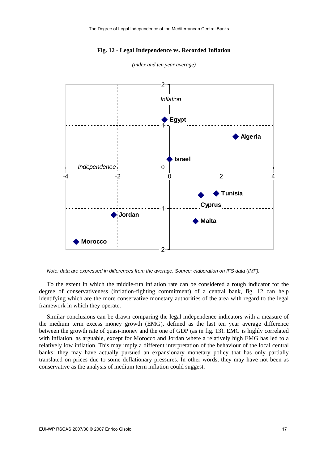#### **Fig. 12 - Legal Independence vs. Recorded Inflation**



*(index and ten year average)* 

*Note: data are expressed in differences from the average. Source: elaboration on IFS data (IMF).* 

To the extent in which the middle-run inflation rate can be considered a rough indicator for the degree of conservativeness (inflation-fighting commitment) of a central bank, fig. 12 can help identifying which are the more conservative monetary authorities of the area with regard to the legal framework in which they operate.

Similar conclusions can be drawn comparing the legal independence indicators with a measure of the medium term excess money growth (EMG), defined as the last ten year average difference between the growth rate of quasi-money and the one of GDP (as in fig. 13). EMG is highly correlated with inflation, as arguable, except for Morocco and Jordan where a relatively high EMG has led to a relatively low inflation. This may imply a different interpretation of the behaviour of the local central banks: they may have actually pursued an expansionary monetary policy that has only partially translated on prices due to some deflationary pressures. In other words, they may have not been as conservative as the analysis of medium term inflation could suggest.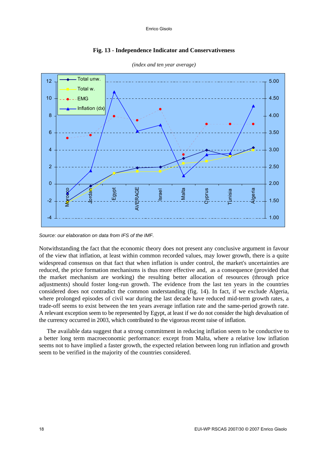



*(index and ten year average)* 

*Source: our elaboration on data from IFS of the IMF.* 

Notwithstanding the fact that the economic theory does not present any conclusive argument in favour of the view that inflation, at least within common recorded values, may lower growth, there is a quite widespread consensus on that fact that when inflation is under control, the market's uncertainties are reduced, the price formation mechanisms is thus more effective and, as a consequence (provided that the market mechanism are working) the resulting better allocation of resources (through price adjustments) should foster long-run growth. The evidence from the last ten years in the countries considered does not contradict the common understanding (fig. 14). In fact, if we exclude Algeria, where prolonged episodes of civil war during the last decade have reduced mid-term growth rates, a trade-off seems to exist between the ten years average inflation rate and the same-period growth rate. A relevant exception seem to be represented by Egypt, at least if we do not consider the high devaluation of the currency occurred in 2003, which contributed to the vigorous recent raise of inflation.

The available data suggest that a strong commitment in reducing inflation seem to be conductive to a better long term macroeconomic performance: except from Malta, where a relative low inflation seems not to have implied a faster growth, the expected relation between long run inflation and growth seem to be verified in the majority of the countries considered.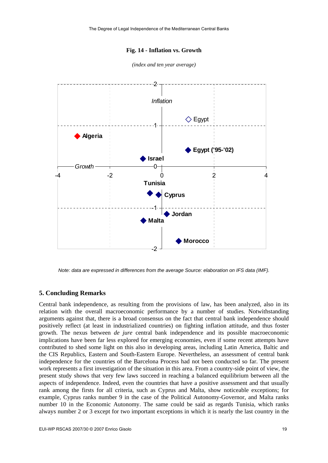#### **Fig. 14 - Inflation vs. Growth**



*(index and ten year average)* 

*Note: data are expressed in differences from the average Source: elaboration on IFS data (IMF).*

#### **5. Concluding Remarks**

Central bank independence, as resulting from the provisions of law, has been analyzed, also in its relation with the overall macroeconomic performance by a number of studies. Notwithstanding arguments against that, there is a broad consensus on the fact that central bank independence should positively reflect (at least in industrialized countries) on fighting inflation attitude, and thus foster growth. The nexus between *de jure* central bank independence and its possible macroeconomic implications have been far less explored for emerging economies, even if some recent attempts have contributed to shed some light on this also in developing areas, including Latin America, Baltic and the CIS Republics, Eastern and South-Eastern Europe. Nevertheless, an assessment of central bank independence for the countries of the Barcelona Process had not been conducted so far. The present work represents a first investigation of the situation in this area. From a country-side point of view, the present study shows that very few laws succeed in reaching a balanced equilibrium between all the aspects of independence. Indeed, even the countries that have a positive assessment and that usually rank among the firsts for all criteria, such as Cyprus and Malta, show noticeable exceptions; for example, Cyprus ranks number 9 in the case of the Political Autonomy-Governor, and Malta ranks number 10 in the Economic Autonomy. The same could be said as regards Tunisia, which ranks always number 2 or 3 except for two important exceptions in which it is nearly the last country in the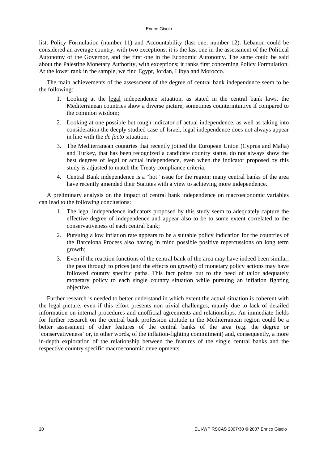#### Enrico Gisolo

list: Policy Formulation (number 11) and Accountability (last one, number 12). Lebanon could be considered an average country, with two exceptions: it is the last one in the assessment of the Political Autonomy of the Governor, and the first one in the Economic Autonomy. The same could be said about the Palestine Monetary Authority, with exceptions; it ranks first concerning Policy Formulation. At the lower rank in the sample, we find Egypt, Jordan, Libya and Morocco.

The main achievements of the assessment of the degree of central bank independence seem to be the following:

- 1. Looking at the legal independence situation, as stated in the central bank laws, the Mediterranean countries show a diverse picture, sometimes counterintuitive if compared to the common wisdom;
- 2. Looking at one possible but rough indicator of actual independence, as well as taking into consideration the deeply studied case of Israel, legal independence does not always appear in line with the *de facto* situation;
- 3. The Mediterranean countries that recently joined the European Union (Cyprus and Malta) and Turkey, that has been recognized a candidate country status, do not always show the best degrees of legal or actual independence, even when the indicator proposed by this study is adjusted to match the Treaty compliance criteria;
- 4. Central Bank independence is a "hot" issue for the region; many central banks of the area have recently amended their Statutes with a view to achieving more independence.

A preliminary analysis on the impact of central bank independence on macroeconomic variables can lead to the following conclusions:

- 1. The legal independence indicators proposed by this study seem to adequately capture the effective degree of independence and appear also to be to some extent correlated to the conservativeness of each central bank;
- 2. Pursuing a low inflation rate appears to be a suitable policy indication for the countries of the Barcelona Process also having in mind possible positive repercussions on long term growth;
- 3. Even if the reaction functions of the central bank of the area may have indeed been similar, the pass through to prices (and the effects on growth) of monetary policy actions may have followed country specific paths. This fact points out to the need of tailor adequately monetary policy to each single country situation while pursuing an inflation fighting objective.

Further research is needed to better understand in which extent the actual situation is coherent with the legal picture, even if this effort presents non trivial challenges, mainly due to lack of detailed information on internal procedures and unofficial agreements and relationships. An immediate fields for further research on the central bank profession attitude in the Mediterranean region could be a better assessment of other features of the central banks of the area (e.g. the degree or 'conservativeness' or, in other words, of the inflation-fighting commitment) and, consequently, a more in-depth exploration of the relationship between the features of the single central banks and the respective country specific macroeconomic developments.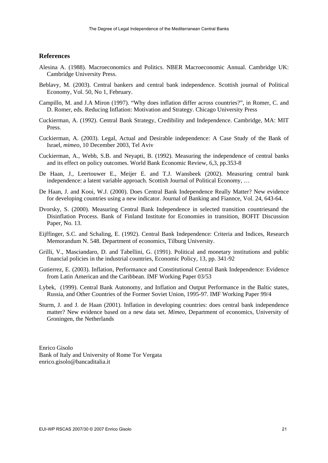## **References**

- Alesina A. (1988). Macroeconomics and Politics. NBER Macroeconomic Annual. Cambridge UK: Cambridge University Press.
- Beblavy, M. (2003). Central bankers and central bank independence. Scottish journal of Political Economy, Vol. 50, No 1, February.
- Campillo, M. and J.A Miron (1997). "Why does inflation differ across countries?", in Romer, C. and D. Romer, eds. Reducing Inflation: Motivation and Strategy. Chicago University Press
- Cuckierman, A. (1992). Central Bank Strategy, Credibility and Independence. Cambridge, MA: MIT Press.
- Cuckierman, A. (2003). Legal, Actual and Desirable independence: A Case Study of the Bank of Israel, *mimeo*, 10 December 2003, Tel Aviv
- Cuckierman, A., Webb, S.B. and Neyapti, B. (1992). Measuring the independence of central banks and its effect on policy outcomes. World Bank Economic Review, 6,3, pp.353-8
- De Haan, J., Leertouwer E., Meijer E. and T.J. Wansbeek (2002). Measuring central bank independence: a latent variable approach. Scottish Journal of Political Economy, …
- De Haan, J. and Kooi, W.J. (2000). Does Central Bank Independence Really Matter? New evidence for developing countries using a new indicator. Journal of Banking and Fiannce, Vol. 24, 643-64.
- Dvorsky, S. (2000). Measuring Central Bank Independence in selected transition countriesand the Disinflation Process. Bank of Finland Institute for Economies in transition, BOFIT Discussion Paper, No. 13.
- Eijffinger, S.C. and Schaling, E. (1992). Central Bank Independence: Criteria and Indices, Research Memorandum N. 548. Department of economics, Tilburg University.
- Grilli, V., Masciandaro, D. and Tabellini, G. (1991). Political and monetary institutions and public financial policies in the industrial countries, Economic Policy, 13, pp. 341-92
- Gutierrez, E. (2003). Inflation, Performance and Constitutional Central Bank Independence: Evidence from Latin American and the Caribbean. IMF Working Paper 03/53
- Lybek, (1999). Central Bank Autonomy, and Inflation and Output Performance in the Baltic states, Russia, and Other Countries of the Former Soviet Union, 1995-97. IMF Working Paper 99/4
- Sturm, J. and J. de Haan (2001). Inflation in developing countries: does central bank independence matter? New evidence based on a new data set. *Mimeo*, Department of economics, University of Groningen, the Netherlands

Enrico Gisolo Bank of Italy and University of Rome Tor Vergata enrico[.gisolo@bancaditalia.it](mailto:gisolo@bancaditalia.it)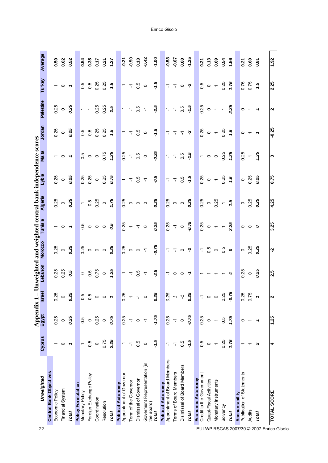|                                           |                                            |                          | <b>Appendix 1</b>        |                                            | Unweighted                                                               |                         |                                | and weighted central bank independence scores |                          |                                   |                          |                          |                               |         |
|-------------------------------------------|--------------------------------------------|--------------------------|--------------------------|--------------------------------------------|--------------------------------------------------------------------------|-------------------------|--------------------------------|-----------------------------------------------|--------------------------|-----------------------------------|--------------------------|--------------------------|-------------------------------|---------|
| 22                                        | Unweighted                                 | Cyprus                   | <b>Egypt</b>             | Isra                                       | Lebanon                                                                  | <b>Morocco</b>          | Tunisia                        | <b>Algeria</b>                                | Lybia                    | <b>Malta</b>                      | Jordan                   | Palestine                | Turkey                        | Average |
|                                           | <b>Central Bank Objectives</b>             |                          |                          |                                            |                                                                          |                         |                                |                                               |                          |                                   |                          |                          |                               |         |
|                                           | Economic Policy                            | $\overline{\phantom{0}}$ | 0.25                     | ю<br>$\frac{2}{3}$                         | 0.25                                                                     | 0.25                    |                                | 0.25                                          | 0.25                     |                                   | 0.25                     | 0.25                     |                               | 0.50    |
|                                           | Financial System                           | $\circ$                  | $\circ$                  | $\circ$                                    | 0.25                                                                     | $\circ$                 | $\sim$ 0 $\sim$                | $\frac{0}{25}$                                | $\circ$                  | $\sim$ 0 $\sim$                   | $\circ$                  | $\circ$                  | $\sim$ 0 $\sim$               | 0.02    |
|                                           | Total                                      | $\overline{\phantom{a}}$ | 0.25                     | 5<br>$\overline{c}$                        | 0.5                                                                      | 0.25                    |                                |                                               | 0.25                     |                                   | 0.25                     | 0.25                     |                               | 0.52    |
|                                           | Policy Formulation                         |                          |                          |                                            |                                                                          |                         |                                |                                               |                          |                                   |                          |                          |                               |         |
|                                           | Monetary Policy                            | $\overline{\phantom{0}}$ | 0.5                      |                                            | $\circ$                                                                  | 0.25                    | $\frac{5}{2}$                  | $\leftarrow$                                  | 0.25                     | 0.5                               | 0.5                      | $\overline{\phantom{0}}$ | 0.5                           | 0.54    |
|                                           | Foreign Exchange Policy                    | $\overline{0}$           | $\circ$                  | $\begin{array}{c} 5 \\ 0 \\ 0 \end{array}$ | $\frac{6}{2}$                                                            |                         |                                | - 0<br>0                                      | 0.25                     |                                   | 0.5                      | $\overline{ }$           | 0.5                           | 0.35    |
|                                           | Coordination                               | $\circ$                  | 0.25                     | $\circ$                                    | 0.75                                                                     | $\circ$ $\circ$ $\circ$ | $\circ$ $\circ$ $\circ$        | 0.25                                          | $\circ$                  |                                   | 0.25                     | 0.25                     | 0.25                          | 0.17    |
|                                           | Resolution                                 | 0.75                     | $\circ$                  | $\circ$                                    | $\circ$                                                                  |                         |                                |                                               | 0.25                     | 0.75                              | 0.25                     | 0.25                     | 0.25                          | 0.21    |
|                                           | Total                                      | 2.25                     | 0.75                     | $\overline{\phantom{a}}$                   | 1.25                                                                     | 0.25                    | 0.5                            | 0.75                                          | 0.75                     | 1.25                              | 1.5                      | 2.5                      | 1.5                           | 1.27    |
|                                           | <b>Political Autonomy</b>                  |                          |                          |                                            |                                                                          |                         |                                |                                               |                          |                                   |                          |                          |                               |         |
|                                           | Appointment of Governor                    | 7                        | 0.25                     | ю<br>$\frac{2}{3}$                         |                                                                          | 0.25                    |                                | 0.25                                          | $\overline{\phantom{0}}$ | 0.25                              |                          |                          |                               | $-0.27$ |
|                                           | Term of the Governor                       | $\nabla$                 | $\overline{\mathbb{Y}}$  | $\leftarrow$                               |                                                                          |                         |                                |                                               | $\overline{a}$           | $\nabla$                          | F F                      |                          | $\frac{a}{1}$ 7 $\frac{a}{1}$ | $-0.50$ |
|                                           | Dismissal of Governor                      | 0.5                      | $\circ$                  | $\nabla$                                   | $\frac{a}{b}$ 7 7                                                        | $O$ $O$ $T$             | $rac{25}{0}$ + $\frac{1}{1}$ 0 | $\circ$ $\circ$ $\circ$                       | 0.5                      | 0.5                               | 0.5                      | $\frac{a}{b}$ 7 7        |                               | 0.13    |
|                                           | Goverment Representation (in<br>the Board) | $\circ$                  | $\overline{\mathbb{F}}$  | $\circ$                                    | $\overline{\mathcal{L}}$                                                 |                         |                                |                                               | $\nabla$                 | $\circ$                           | $\circ$                  | $\nabla$                 | $\circ$                       | $-0.42$ |
|                                           | Total                                      | $-1.5$                   | $-1.75$                  | φ<br>$\overline{0.2}$                      | $-2.5$                                                                   | 0.75                    | 0.25                           | 0.25                                          | -0.5                     | $-0.25$                           | $-1.5$                   | $-2.5$                   | $-1.5$                        | $-1.00$ |
|                                           | <b>Political Autonomy</b>                  |                          |                          |                                            |                                                                          |                         |                                |                                               |                          |                                   |                          |                          |                               |         |
|                                           | Appointment of Board Members               | 7                        | 0.25                     | ō<br>$\overline{0}$                        |                                                                          |                         | 0.25                           | 0.25                                          | ٣                        | $\overline{\mathbf{r}}$           | $\overline{\mathbb{F}}$  | 7                        |                               | 0.58    |
|                                           | Terms of Board Members                     | $\nabla$                 | $\overline{\mathbb{F}}$  | $\overline{\phantom{a}}$                   |                                                                          | 770                     | $\overline{r}$ o               | $\circ$ $\circ$                               | $\overline{a}$           | $\nabla_{\!\! \! \! \! \text{r}}$ | $\overline{L}$           |                          | 770                           | $-0.67$ |
|                                           | Disimissal of Board Members                | $0.\overline{5}$         | $\circ$                  | ŗ                                          | $\begin{array}{ccccc}\n\hline\n\tau & \circ & \circ & \tau\n\end{array}$ |                         |                                |                                               | 0.5                      | 0.5                               | $\overline{a}$           | $-7.5$                   |                               | 0.00    |
|                                           | Total                                      | $-1.5$                   | $-0.75$                  | يا<br>$\overline{c}$                       |                                                                          | Ņ                       | $-0.75$                        | 0.25                                          | $-1.5$                   | -1.5                              | <u>ှာ</u>                | $-1.5$                   | Ņ                             | $-1.25$ |
|                                           | Economic Autonomy                          |                          |                          |                                            |                                                                          |                         |                                |                                               |                          |                                   |                          |                          |                               |         |
|                                           | Credit to the Government                   | 0.5                      | 0.25                     | Т                                          | $\overline{\phantom{0}}$                                                 | $\overline{\mathbb{Y}}$ | 0.25                           | 0.25                                          | 0.25                     | $\sim$ 0                          | 0.25                     | 0.25                     | $\frac{5}{0}$                 | 0.21    |
|                                           | Quasi-Fiscal Activities                    | $\circ$                  | $\circ$                  | $\circ$ $\circ$                            |                                                                          | 0.5                     |                                | $\circ$                                       |                          |                                   | $\circ$                  |                          | $\circ$                       | 0.13    |
|                                           | Monetary Instruments                       | $\leftarrow$             | $\overline{\phantom{m}}$ |                                            | $\tau$ $\tau$ $\tau$                                                     | $\circ$                 | $\circ$ $\sim$ $\sim$          | 0.25                                          | $0 - \frac{1}{25}$       | $\circ$                           | $\overline{ }$           | $\circ$ $\sim$ $\sim$    | $\overline{ }$                | 0.69    |
|                                           | Solvency                                   | 0.25                     | $\overline{0}$           | Б<br>$\frac{2}{3}$                         |                                                                          | $\overline{0.5}$        |                                | $\overline{\phantom{a}}$                      |                          | 0.25                              | 0.25                     |                          | 0.25                          | 0.54    |
|                                           | Total                                      | 1.75                     | 1.75                     | $-0.75$                                    | 4                                                                        | $\circ$                 | 2.25                           | 7.5                                           | 1.5                      | 1.25                              | 1.5                      | 2.25                     | 1.75                          | 1.56    |
|                                           | Accountability                             |                          |                          |                                            |                                                                          |                         |                                |                                               |                          |                                   |                          |                          |                               |         |
|                                           | Publication of Statements                  |                          | $\circ$                  | 5<br>$\frac{2}{3}$                         | 0.25                                                                     | $\circ$                 | $\circ$ $\circ$                | $\circ$                                       | $\circ$                  | 0.25                              | $\circ$                  | $\circ$                  | 0.75                          | 0.21    |
|                                           | Audits                                     |                          | $\overline{\phantom{0}}$ | ര<br>$\overline{0.7}$                      | $\circ$                                                                  | 0.25                    |                                | 0.25                                          | 0.25                     | $\leftarrow$                      | $\overline{\phantom{0}}$ |                          | 0.75                          | 0.60    |
| EUI-WP RSCAS 2007/30 @ 2007 Enrico Gisolo | Total                                      | $\sim$                   |                          |                                            | 0.25                                                                     | 0.25                    | $\circ$                        | 0.25                                          | 0.25                     | 1.25                              | $\overline{\phantom{a}}$ |                          | 1.5                           | 0.87    |
|                                           | <b>TOTAL SCORE</b>                         | 4                        | 1.25                     | $\mathbf{\Omega}$                          | 2.5                                                                      | Ņ                       | 3.25                           | 4.25                                          | 0.75                     | w                                 | $-0.25$                  | $\sim$                   | 2.25                          | 1.92    |
|                                           |                                            |                          |                          |                                            |                                                                          |                         |                                |                                               |                          |                                   |                          |                          |                               |         |

Enrico Gisolo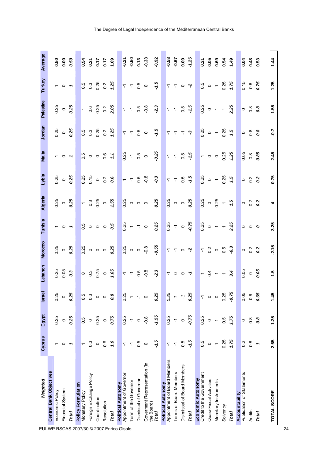| Weighted                                   | Cyprus           | Egypt                    | <b>Israel</b>              | Lebanon                                                                  | <b>Morocco</b>                              | Tunisia                                     | <b>Algeria</b>                      | Lybia                                  | <b>Malta</b>       | Jordan                               | Palestine                                 | Turkey                            | Average                              |
|--------------------------------------------|------------------|--------------------------|----------------------------|--------------------------------------------------------------------------|---------------------------------------------|---------------------------------------------|-------------------------------------|----------------------------------------|--------------------|--------------------------------------|-------------------------------------------|-----------------------------------|--------------------------------------|
| <b>Central Bank Objectives</b>             |                  |                          |                            |                                                                          |                                             |                                             |                                     |                                        |                    |                                      |                                           |                                   |                                      |
| Economic Policy                            |                  | 0.25                     | 0.25                       |                                                                          |                                             |                                             |                                     | 0.25                                   |                    |                                      |                                           |                                   |                                      |
| Financial System                           | 0                | $\circ$                  | P                          | 0.25<br>0.05                                                             | $0.25$<br>0.25                              | $\sim$ 0 $\sim$                             | $0.25$<br>$0.25$                    | $\circ$                                | $\sim$ 0 $\sim$    | $0.25$<br>0.25                       | $\frac{25}{9}$ o $\frac{25}{9}$           | $\sim$ 0 $\sim$                   | 0.50<br>0.00                         |
| Total                                      | ٣                | 0.25                     | 0.25                       | 0.3                                                                      |                                             |                                             |                                     | 0.25                                   |                    |                                      |                                           |                                   | 0.50                                 |
| Policy Formulation                         |                  |                          |                            |                                                                          |                                             |                                             |                                     |                                        |                    |                                      |                                           |                                   |                                      |
| Monetary Policy                            |                  | 0.5                      | 5<br>0.3                   |                                                                          |                                             |                                             |                                     |                                        |                    |                                      |                                           |                                   |                                      |
| Foreign Exchange Policy                    | $\frac{3}{2}$    | $\circ$                  |                            |                                                                          |                                             |                                             |                                     |                                        |                    |                                      |                                           |                                   |                                      |
| Coordination                               | $\circ$          | 0.25                     |                            |                                                                          |                                             |                                             |                                     |                                        |                    |                                      |                                           |                                   |                                      |
| Resolution                                 | 0.6              | $\circ$                  | $\circ$ $\circ$            |                                                                          |                                             | $\frac{a}{c}$ $\circ$ $\circ$ $\frac{a}{c}$ |                                     | $0.75$<br>$0.75$<br>$0.25$<br>$0.6$    |                    | 0.3<br>0.3<br>0.2<br>0.2<br>1.2<br>5 |                                           |                                   | 0.54<br>0.21<br>0.51<br>0.31<br>0.50 |
| Total                                      | 1.9              | 0.75                     | 0.8                        |                                                                          | $0.25$<br>$0.25$                            |                                             | $-3.85$<br>$-3.85$                  |                                        |                    |                                      | - 9 8 9 9 8<br>- 9 8 9 9 8                | 0.3<br>0.3<br>0.0<br>0.25<br>2.25 |                                      |
| <b>Political Autonomy</b>                  |                  |                          |                            |                                                                          |                                             |                                             |                                     |                                        |                    |                                      |                                           |                                   |                                      |
| Appointment of Governor                    | 7                | 0.25                     | 0.25                       |                                                                          |                                             |                                             |                                     |                                        |                    |                                      |                                           |                                   | $\frac{5}{9}$                        |
| Term of the Governor                       | Ч                | $\overline{\mathbf{r}}$  |                            |                                                                          |                                             |                                             |                                     |                                        |                    |                                      |                                           |                                   | $-0.50$                              |
| Dismissal of Governor                      | $\overline{0}$   | $\circ$                  | 7                          | 7700                                                                     | $\frac{8}{3}$ $\circ$ $\circ$ $\frac{8}{9}$ | $\frac{18}{0}$ + $\frac{1}{1}$ 0            | စိုး<br>ဝိ                          | $-7.50$                                | 8.550              | 0.577                                | 7700                                      | $-5.77$                           | 0.13                                 |
| Goverment Representation (in<br>the Board) | $\circ$          | $-0.8$                   |                            |                                                                          |                                             |                                             |                                     |                                        |                    |                                      |                                           |                                   | $-0.33$                              |
| Total                                      | $-1.5$           | $-1.55$                  | 0.25                       | $-2.3$                                                                   | $-0.55$                                     | 0.25                                        | 0.25                                | $-0.3$                                 | $-0.25$            | $-1.5$                               | $-2.3$                                    | $-1.5$                            | $-0.92$                              |
| <b>Political Autonomy</b>                  |                  |                          |                            |                                                                          |                                             |                                             |                                     |                                        |                    |                                      |                                           |                                   |                                      |
| Appointment of Board Members               | ٣                | 0.25                     | 0.25                       |                                                                          |                                             |                                             |                                     |                                        |                    |                                      |                                           |                                   |                                      |
| Terms of Board Members                     | Τ                | $\overline{\mathcal{L}}$ |                            |                                                                          |                                             | $\frac{85}{10}$ 7 0                         | $\frac{85}{0}$ o o                  |                                        |                    |                                      |                                           | 770                               | 19.67                                |
| Disimissal of Board Members                | 0.5              | $\circ$                  | $-7$<br>$0.25$             | $\begin{array}{ccccc}\n\hline\n\tau & \circ & \circ & \tau\n\end{array}$ |                                             |                                             |                                     | 7757                                   |                    | $\tau$ $\tau$ $\tau$ $\eta$          | $7 - 5.5$                                 |                                   | 0.00                                 |
| Total                                      | $-1.5$           | $-0.75$                  |                            |                                                                          |                                             | $-0.75$                                     | 0.25                                |                                        | 770.57             |                                      |                                           | Ņ                                 | $-1.25$                              |
| Economic Autonomy                          |                  |                          |                            |                                                                          |                                             |                                             |                                     |                                        |                    |                                      |                                           |                                   |                                      |
| Credit to the Government                   | 0.5              | 0.25                     | ١,                         |                                                                          |                                             |                                             |                                     |                                        |                    |                                      |                                           |                                   |                                      |
| Quasi-Fiscal Activities                    | $\circ$          | $\circ$                  |                            |                                                                          |                                             |                                             |                                     |                                        |                    |                                      |                                           |                                   |                                      |
| Monetary Instruments                       |                  |                          |                            |                                                                          |                                             |                                             |                                     |                                        |                    |                                      |                                           |                                   | 0.000<br>0.000                       |
| Solvency                                   | 0.25             | 0.5                      | 0.25                       | $-3 - -7$                                                                | 73093                                       | $\frac{1}{0.25}$ 0 - - $\frac{1}{2}$ 3      | $80 - 81 - 5$                       | $\frac{85}{0.25}$ 0 - $\frac{8}{0.25}$ | $-0025$            | $\frac{25}{0.25}$ 0 - 55             | $\frac{1}{0.25}$ 0 - - $\frac{1}{2}$ 2.35 | $50 - 52$                         | 0.54                                 |
| Total                                      | 1.75             | 1.75                     | $-0.75$                    |                                                                          |                                             |                                             |                                     |                                        |                    |                                      |                                           |                                   | 0.49                                 |
| Accountability                             |                  |                          |                            |                                                                          |                                             |                                             |                                     |                                        |                    |                                      |                                           |                                   |                                      |
| Publication of Statements                  | 0.2              | $\circ$                  |                            |                                                                          |                                             |                                             |                                     |                                        |                    | $\circ$                              |                                           |                                   |                                      |
| Audits                                     | $0.\overline{8}$ | $0.\overline{8}$         | $0.05$<br>$0.65$<br>$0.65$ | $rac{8}{100}$                                                            | 0.28                                        | $\circ$ $\circ$                             | $\circ$ $\frac{3}{5}$ $\frac{3}{5}$ | $\circ$ $\frac{3}{5}$ $\frac{3}{5}$    | 88<br>0.80<br>0.85 | 0.8                                  | $\circ$ $\frac{8}{9}$                     | $\frac{82}{60}$                   | 0.48<br>0.48                         |
| Total                                      |                  | 0.8                      |                            |                                                                          |                                             |                                             |                                     |                                        |                    |                                      |                                           |                                   |                                      |
| <b>TOTAL SCORE</b>                         | 2.65             | 1.25                     | 1.45                       | 1.5                                                                      | $-2.15$                                     | 3.25                                        | 4                                   | 0.75                                   | 2.45               | $-0.7$                               | 1.55                                      | 1.25                              | 1.44                                 |

EUI-WP RSCAS 2007/30 © 2007 Enrico Gisolo 24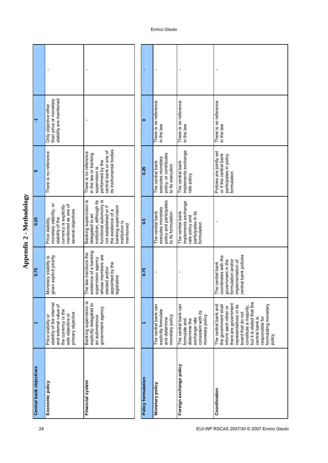|                         | J.                                                                                                                                        | $\blacksquare$                                                                                                                                                                                        |                    | $\blacksquare$                                                                         | Ţ                                                                                                                 |                                                                                                                                                                                                                                                                            |
|-------------------------|-------------------------------------------------------------------------------------------------------------------------------------------|-------------------------------------------------------------------------------------------------------------------------------------------------------------------------------------------------------|--------------------|----------------------------------------------------------------------------------------|-------------------------------------------------------------------------------------------------------------------|----------------------------------------------------------------------------------------------------------------------------------------------------------------------------------------------------------------------------------------------------------------------------|
| ᡪ                       | than price or monetary<br>stability are mentioned<br>Only objective other                                                                 |                                                                                                                                                                                                       | $\bullet$          | There is no reference<br>in the law                                                    | There is no reference<br>in the law                                                                               | There is no reference<br>in the law                                                                                                                                                                                                                                        |
| $\bullet$               | There is no reference                                                                                                                     | its instrumental bodies<br>central bank or one of<br>There is no reference<br>in the law or banking<br>performed by the<br>supervision is                                                             | 0.25               | policy, or contributes<br>executes monetary<br>The central bank<br>to its execution    | implements exchange<br>The central bank<br>rate policy                                                            | Policies are jointly set<br>or if the central bank<br>participates in policy<br>formulation                                                                                                                                                                                |
| 0.25                    | monetary stability, or<br>mentioned as one of<br>currency is explicitly<br>several objectives<br>stability of the<br>Price stability      | Banking supervision is<br>functional autonomy is<br>institution, although its<br>banking supervision<br>not established or if<br>the existence of a<br>delegated to an<br>institution is<br>mentioned | 0.5                | policy and participates<br>executes monetary<br>The central bank<br>to its formulation | implements exchange<br>participates in its<br>The central bank<br>rate policy and<br>formulation                  |                                                                                                                                                                                                                                                                            |
| 0.75                    | Monetary stability is<br>given explicit priority                                                                                          | existence of a banking<br>The law mentions the<br>whose members are<br>supervision agency<br>appointed by the<br>elected and/or<br>legislative                                                        | 0.75               | Ţ                                                                                      | J                                                                                                                 | central bank policies<br>coordinates with the<br>government in the<br>formulation and/or<br>implementation of<br>The central bank                                                                                                                                          |
|                         | stability of the internal<br>and external value of<br>the currency is the<br>primary objective<br>sole objective or<br>Price stability or | Banking supervision is<br>explicitly delegated to<br>government agency<br>an autonomous                                                                                                               |                    | The central bank can<br>explicitly formulate<br>monetary policy<br>and determine       | The central bank can<br>consistent with its<br>monetary policy<br>exchange rate<br>determine the<br>formulate and | but it is stated that the<br>there are government<br>formulating monetary<br>The central bank and<br>the government shall<br>representatives in its<br>constitute a majority,<br>inform each other or<br>board that do not<br>responsible for<br>central bank is<br>policy |
| Central bank objectives | Economic policy                                                                                                                           | Financial system                                                                                                                                                                                      | Policy formulation | Monetary policy                                                                        | Foreign exchange policy                                                                                           | Coordination                                                                                                                                                                                                                                                               |

Appendix 2 - Methodology **Appendix 2 - Methodology**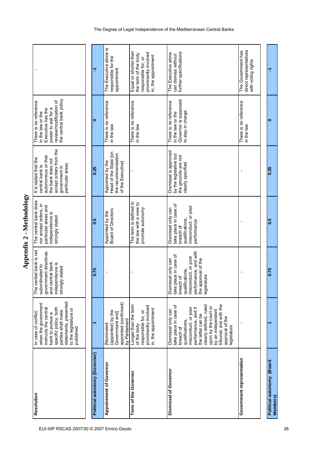| Resolution                            | In case of conflict,                                                                                                                                                                                                                                                              | The central bank is not<br>subordinated to                                                                                                                        | The central bank does                                                                                             | It is stated that the<br>central bank is                                                               | There is no reference<br>in the law or the                                                   |                                                                                                                     |
|---------------------------------------|-----------------------------------------------------------------------------------------------------------------------------------------------------------------------------------------------------------------------------------------------------------------------------------|-------------------------------------------------------------------------------------------------------------------------------------------------------------------|-------------------------------------------------------------------------------------------------------------------|--------------------------------------------------------------------------------------------------------|----------------------------------------------------------------------------------------------|---------------------------------------------------------------------------------------------------------------------|
|                                       | statements, presented<br>when the government<br>to the legislature or<br>instructs the central<br>specific policy, both<br>parties shall make<br>bank to pursue a<br>published                                                                                                    | government directives<br>and central bank<br>independence is<br>strongly stated                                                                                   | nor accept orders, in<br>particular areas and<br>independence is<br>strongly stated                               | accept orders from the<br>autonomous or that<br>the bank does not<br>particular areas<br>government in | the central bank policy<br>review/modification of<br>power to ask for a<br>Executive has the |                                                                                                                     |
|                                       |                                                                                                                                                                                                                                                                                   |                                                                                                                                                                   |                                                                                                                   |                                                                                                        |                                                                                              |                                                                                                                     |
| Political autonomy (Governor)         |                                                                                                                                                                                                                                                                                   | 0.75                                                                                                                                                              | 0.5                                                                                                               | 0.25                                                                                                   | $\bullet$                                                                                    | ᡪ                                                                                                                   |
| Appointment of Governor               | appointed (confirmed)<br>(appointed) by the<br>Government and<br>by Parliament<br><b>Nominated</b>                                                                                                                                                                                |                                                                                                                                                                   | Appointed by the<br>Board of Directors                                                                            | Head of the State [on<br>the recommendation<br>Appointed by the<br>of the Executive]                   | There is no reference<br>in the law                                                          | The Executive alone is<br>responsible for the<br>appointment                                                        |
| Term of the Governor                  | Longer than the term<br>prominently involved<br>in, the appointment<br>responsible for, or<br>of the body                                                                                                                                                                         |                                                                                                                                                                   | The term is defined in<br>the law with a view to<br>promote autonomy                                              |                                                                                                        | There is no reference<br>in the law                                                          | Equal or shorter than<br>prominently involved<br>the term of the body<br>in, the appointment<br>responsible for, or |
| Dismissal of Governor                 | tribunal, and with the<br>clearly defined, ruled<br>take place in case of<br>upon by the court or<br>misconduct, or poor<br>performance, and if<br>by an independent<br>Dismissal only can<br>the latter can be<br>approval of the<br>qualifications,<br>legislature<br>breach of | performance, and with<br>take place in case of<br>misconduct, or poor<br>the approval of the<br>Dismissal only can<br>qualifications,<br>legislature<br>breach of | take place in case of<br>misconduct, or poor<br>Dismissal only can<br>qualifications,<br>performance<br>breach of | Dismissal is approved<br>by the legislative but<br>the grounds are not<br>clearly specified            | Governor is supposed<br>There is no reference<br>to stay in charge<br>in the law or the      | further specifications<br>The Executive alone<br>can dismiss without                                                |
| Government representation             |                                                                                                                                                                                                                                                                                   |                                                                                                                                                                   |                                                                                                                   |                                                                                                        | There is no reference<br>in the law                                                          | direct representatives<br>The Government has<br>with voting rights                                                  |
|                                       |                                                                                                                                                                                                                                                                                   |                                                                                                                                                                   |                                                                                                                   |                                                                                                        |                                                                                              |                                                                                                                     |
| Political autonomy (Board<br>Members) |                                                                                                                                                                                                                                                                                   | 0.75                                                                                                                                                              | <b>S:0</b>                                                                                                        | 0.25                                                                                                   | ۰                                                                                            | 7                                                                                                                   |

The Degree of Legal Independence of the Mediterranean Central Banks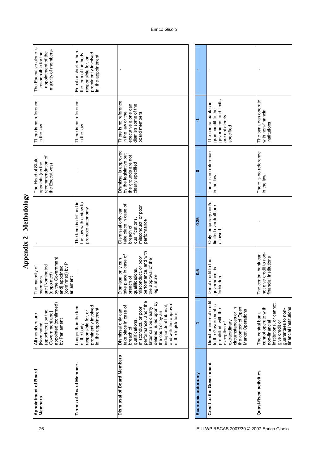| Appointment of Board<br>Members | appointed (confirmed)<br>(appointed) by the<br>Government and]<br>All members are<br>by Parliament<br><b>Nominated</b>                                                                                                                                                       | by the Government<br>(confirmed) by P<br>are [Nominated<br>and] appointed<br>The majority of<br>(appointed)<br>members<br>arliament                               |                                                                                                                   | recommendation of<br>The Head of State<br>appoints (on the<br>the Executives)               | There is no reference<br>in the law                                                                       | The Executive alone is<br>majority of members-<br>responsible for the<br>appointment of the                        |
|---------------------------------|------------------------------------------------------------------------------------------------------------------------------------------------------------------------------------------------------------------------------------------------------------------------------|-------------------------------------------------------------------------------------------------------------------------------------------------------------------|-------------------------------------------------------------------------------------------------------------------|---------------------------------------------------------------------------------------------|-----------------------------------------------------------------------------------------------------------|--------------------------------------------------------------------------------------------------------------------|
| <b>Terms of Board Members</b>   | Longer than the term<br>prominently involved<br>in, the appointment<br>responsible for, or<br>of the body                                                                                                                                                                    | ı                                                                                                                                                                 | The term is defined in<br>the law with a view to<br>promote autonomy                                              |                                                                                             | There is no reference<br>in the law                                                                       | Equal or shorter than<br>prominently involved<br>the term of the body<br>in, the appointment<br>esponsible for, or |
| Dismissal of Board Members      | performance, andif the<br>defined, ruled upon by<br>and with the approval<br>take place in case of<br>independent tribunal<br>misconduct, or poor<br>latter can be clearly<br>Dismissal only can<br>the court or by an<br>of the legislature<br>qualifications,<br>breach of | performance, and with<br>take place in case of<br>misconduct, or poor<br>Dismissal only can<br>the approval of the<br>qualifications,<br>legislature<br>breach of | take place in case of<br>misconduct, or poor<br>Dismissal only can<br>qualifications,<br>performance<br>breach of | Dismissal is approved<br>by the legislative but<br>the grounds are not<br>clearly specified | There is no reference<br>dismiss some of the<br>executive alone can<br>in the law or the<br>board members | $\blacksquare$                                                                                                     |
|                                 |                                                                                                                                                                                                                                                                              |                                                                                                                                                                   |                                                                                                                   |                                                                                             |                                                                                                           |                                                                                                                    |
| Economic autonomy               |                                                                                                                                                                                                                                                                              | $\frac{5}{2}$                                                                                                                                                     | 0.25                                                                                                              | $\bullet$                                                                                   | ۳                                                                                                         |                                                                                                                    |
| Credit to the Government        | Direct or indirect credit<br>to the Government is<br>the context of Open<br>circumstances or in<br>prohibited, with the<br>Market Operations<br>extraordinary<br>exception of                                                                                                | Direct credit to the<br>government is<br>forbidden                                                                                                                | Only temporary and/or<br>limited overdraft are<br>allowed                                                         | There is no reference<br>in the law                                                         | government and limits<br>The central bank can<br>grant credit to the<br>are not clearly<br>specified      |                                                                                                                    |
| Quasi-fiscal activities         | institutions, or cannot<br>cannot operate with<br>financial institutions<br>guarantees to non-<br>The central bank<br>give credit or<br>non-financial                                                                                                                        | give credit to non-<br>The central bank can<br>financial institutions<br>not                                                                                      |                                                                                                                   | There is no reference<br>in the law                                                         | The bank can operate<br>with non-financial<br>institutions                                                |                                                                                                                    |

Appendix 2 - Methodology **Appendix 2 - Methodology**